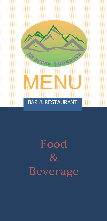# Food  $\&$ **Beverage**

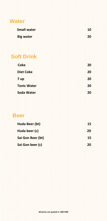| <b>Water</b>       |                 |
|--------------------|-----------------|
| <b>Small water</b> | 10              |
| Big water          | 20              |
|                    |                 |
| <b>Soft Drink</b>  |                 |
| Coke               | 20              |
| Diet Coke          | 20              |
| 7 yp               | 20              |
| <b>Tonic Water</b> | 20              |
| Soda Water         | 20              |
|                    |                 |
| <b>Beer</b>        |                 |
| Huda Beer (bt)     | 15              |
| Huda beer (c)      | 20 <sub>i</sub> |
| Sai Gon Beer (bt)  | 鹤               |
| Sai Gon beer (c)   | :20:            |
|                    |                 |
|                    |                 |
|                    |                 |
|                    |                 |
|                    |                 |
|                    |                 |
|                    |                 |
|                    |                 |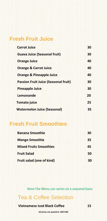| <b>Fresh Fruit Juice</b>                     |    |
|----------------------------------------------|----|
| <b>Carrot Juice</b>                          | 30 |
| <b>Guava Juice (Seasonal fruit)</b>          | 30 |
| Orange Juice                                 | 40 |
| <b>Orange &amp; Carrot Juice</b>             | 40 |
| Orange & Pineapple Juice                     | 40 |
| <b>Passion Fruit Juice (Seasonal fruit)</b>  | 30 |
| Pineapple Juice                              | 30 |
| <u>Lemonande</u>                             | 20 |
| Tomato juice                                 | 25 |
| <b>Watermelon Juice (Seasonal)</b>           | 35 |
|                                              |    |
| <b>Fresh Fruit Smoothies</b>                 |    |
| <b>Banana Smoothie</b>                       | 30 |
| <u>Mango Smoothie.</u>                       | 35 |
| <b>Mixed Fruits Smoothies</b>                | 45 |
| <b>Fruit Salad</b>                           | 50 |
| Fruit salad (one of kind)                    | 30 |
|                                              |    |
|                                              |    |
|                                              |    |
| Note:The Menu can varies on a seasonal basis |    |
| <b>Tea &amp; Coffee Selection</b>            |    |
| Vietnamese Iced Black Coffee                 | 45 |
| All prices are quoted in .000 VND.           |    |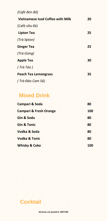| (Café đen đá)                           |     |
|-----------------------------------------|-----|
| <b>Vietnamese Iced Coffee with Milk</b> | 20  |
| (Café sữa đá)                           |     |
| Lipton Tea                              | 25  |
| (Trà lipton).                           |     |
| <b>Ginger Tea</b>                       | 25  |
| (Trà Gừng)                              |     |
| Apple Tea                               | 30  |
| $f$ :Trà:Táo:)                          |     |
| Peach Tea Lemongrass                    | 35  |
| ( Trà Đào Cam Sả)                       |     |
|                                         |     |
| <b>Mixed Drink</b>                      |     |
| Campari & Soda                          | 80  |
| <b>Campari &amp; Fresh Orange</b>       | 100 |
| Gin & Soda                              | 80  |
| <b>Gin &amp; Tonic</b>                  | 80  |
| Vodka & Soda                            | 80  |
| Vodka & Tonic                           | 80  |
| <b>Whisky &amp; Coke</b>                | 100 |
|                                         |     |
|                                         |     |
|                                         |     |
|                                         |     |
|                                         |     |
|                                         |     |
|                                         |     |
| <b>Cocktail</b>                         |     |
|                                         |     |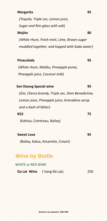#### **Margarita 95**

 *(Tequila, Triple sec, Lemon juice, Sugar and Rim glass with salt)*

#### **Mojito 80**

 *(White rhum, Fresh mint, Lime, Brown sugar muddled together, and topped with Soda water)*

#### **Pinacolada 95**

 *(White rhum, Malibu, Pineapple puree, Pineapple juice, Coconut milk)*

#### **Son Doong Special wine 95**

 *(Gin, Cherry brandy, Triple sec, Dom Benedictine, Lemon juice, Pineapple* juice, Grenadine syrup and a dash of bitter)

**BEE 852** REPRESENTED FOR THE ENDING: 75

(Kahlua, Cointreau, Bailey)

### **Sweet Love 95**

(Bailey, Kalua, Amaretto, Cream)

## **Wine by Bottle**

 WHITE or RED WINE  **Da Lat Wine** ( Vang Đà Lạt) 250

**All prices are quoted in .000 VND**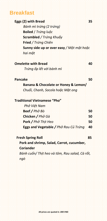|  | - 7 |  |  |
|--|-----|--|--|
|  |     |  |  |
|  |     |  |  |

| Eggs (2) with Bread<br>Bánh mì trứng (2 trứng)<br>Boiled / Trứng luộc<br>Scrambled / Trứng Khuẩy<br>Fried / Trứng Chiến<br>Sunny side up or over easy / Một mặt hoặc<br>hai mặt<br>Trứng ốp lết với bánh mì<br>Banana & Chocolate or Honey & Lemon/<br>Chuối, Chanh, Socola hoặc Mật ong | 40<br>50 |
|------------------------------------------------------------------------------------------------------------------------------------------------------------------------------------------------------------------------------------------------------------------------------------------|----------|
|                                                                                                                                                                                                                                                                                          |          |
| <b>Omelette with Bread</b><br>Pancake                                                                                                                                                                                                                                                    |          |
|                                                                                                                                                                                                                                                                                          |          |
|                                                                                                                                                                                                                                                                                          |          |
|                                                                                                                                                                                                                                                                                          |          |
|                                                                                                                                                                                                                                                                                          |          |
|                                                                                                                                                                                                                                                                                          |          |
|                                                                                                                                                                                                                                                                                          |          |
|                                                                                                                                                                                                                                                                                          |          |
|                                                                                                                                                                                                                                                                                          |          |
|                                                                                                                                                                                                                                                                                          |          |
| Traditional Vietnamese "Pho"                                                                                                                                                                                                                                                             |          |
| Phớ Việt Nam                                                                                                                                                                                                                                                                             |          |
| Beef / Phơ Bò                                                                                                                                                                                                                                                                            | 50       |
| Chicken / Pho Gà                                                                                                                                                                                                                                                                         | 50       |
| Pork / Pho Thit Heo                                                                                                                                                                                                                                                                      | 50       |
| Eggs and Vegetable / Phơ Rau Củ Trứng                                                                                                                                                                                                                                                    | 40       |
| <b>Fresh Spring Roll</b>                                                                                                                                                                                                                                                                 | 85       |
| Pork and shrimp, Salad, Carrot, cucumber,<br>Coriander                                                                                                                                                                                                                                   |          |
| Bánh cuốn/ Thịt heo và tôm, Rau salad, Cà rốt,                                                                                                                                                                                                                                           |          |
| ngò                                                                                                                                                                                                                                                                                      |          |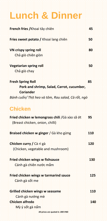| <b>Linch &amp; Dinner</b>                                                          |     |
|------------------------------------------------------------------------------------|-----|
| French fries / Khoai tây chiên.                                                    | 45  |
| Fries sweet potato / Khoai lang chiên                                              | 50  |
| VN crispy spring roll<br>Chả giờ chiên giòn                                        | 80  |
| Vegetarian spring roll<br>Chả giờ chay                                             | 50  |
| <b>Fresh Spring Roll</b><br>Pork and shrimp, Salad, Carrot, cucumber,<br>Coriander | 85  |
| Bánh cuốn/ Thịt heo và tôm, Rau salad, Cà rốt, ngò                                 |     |
| Chicken                                                                            |     |
| Fried chicken w lemongrass chili /Gà xào sã ot<br>(Breast chicken, onion, chilli)  | 95  |
| Braised chicken w ginger / Ga kho gung                                             | 110 |
| Chicken curry / Cà ri gà<br>(Chicken, vegetable and mushroom)                      | 120 |
| Fried chicken wings w fishsauce.<br>Cánh gà chiên nước mắm                         | 130 |
| Fried chicken wings w tarmarind sauce<br>Cánh gà sốt me                            | 125 |
| Grilled chicken wings w seasame                                                    | 110 |
| Cánh gà nướng mè                                                                   |     |
| Chicken alfredo                                                                    | 140 |
| Mỳ ý sốt gà nấm                                                                    |     |

,我们就是一个人,我们就是我们的,我们就是我们的,我们就是我们的,我们就是我们的,我们就是我们的,我们就是我们的,我们就是我们的,我们就是我们的,我们就是我们的,我们就是我们的,我们就是我们的,我们就是我们的,我们就是我<br>第259章 我们的人,我们就是我们的人,我们就是我们的,我们就是我们的,我们就是我们的,我们就是我们的,我们就是我们的,我们就是我们的,我们就是我们的,我们就是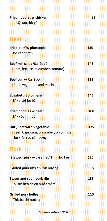| <b>Fried noodles w chicken</b><br>Mỳ xào thịt gà | 85   |
|--------------------------------------------------|------|
|                                                  |      |
| <b>Beef</b>                                      |      |
| Fried beef w pineapple                           | 130  |
| Bò xào thơm                                      |      |
| Beef mix salad/Sa lát bò                         | 145  |
| (Beef, lettuce, cucumber, tomato)                |      |
| Beef curry/ Cà ri bò                             | 135  |
| (Beef, vegetable and mushroom)                   |      |
| Spaghetti Bolognese                              | 145  |
| Mỳ ý sốt bò băm                                  |      |
| Fried noodles w beef                             | 100  |
| Mỳ xào thịt bò                                   |      |
| <b>BBQ Beef with Vegetable</b>                   | 175  |
| (Beef, Capsicum, cucumber, onion, rice)          |      |
| Bò xiên rau củ nướng                             |      |
| <b>Pork</b>                                      |      |
| Stewed pork w caramel/ Thit kho tàu              | 120  |
| Grilled pork ribs / Sườn nướng                   | 115  |
| Sweet and sour pork ribs                         | :135 |
| Sườn heo chiến nước mắm                          |      |
| Grilled pork belley                              | 110  |
| :Thịt:ba chỉ nướng                               |      |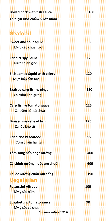| Boiled pork with fish sauce   | <b>100</b> |
|-------------------------------|------------|
| Thịt lợn luộc chấm nước mắm   |            |
| <b>Seafood</b>                |            |
| <b>Sweet and sour squid</b>   | 135        |
| <u>Mực xào chua ngọt</u>      |            |
| <b>Fried crispy Squid</b>     | 125        |
| Muc chiên giòn                |            |
| 6. Steamed Squid with celery  | 120        |
| Mực hấp cần tây               |            |
| Braised carp fish w ginger    | 120        |
| Cá trắm kho gừng              |            |
| Carp fish w tomato sauce      | 125        |
| Cá trắm sốt cà chua           |            |
| <b>Braised snakehead fish</b> | 125        |
| Cá lóc kho tố                 |            |
| Fried rice w seafood          | 95         |
| Cơm chiến hải sản             |            |
| Tôm sông hấp hoặc nướng       | 400        |
| Cá chình nướng hoặc um chuối  | 600        |
| Cá lóc nướng cuốn rau sống    | 190        |
| Vegetarian                    |            |
| Fettuccini Alfredo            | 100        |
| Mỳ ý sốt nấm                  |            |
| Spaghetti w tomato sauce      | 90         |
| Mỳ ý sốt cà chua              |            |

....................

t

q

÷. ÷.

q H

÷ ÷

H

1919

98

4444444

÷.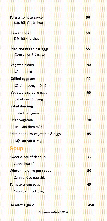| Tofu w tomato sauce             | 50  |
|---------------------------------|-----|
| Đậu hũ sốt cà chua              |     |
| <b>Stewed tofu</b>              | 50  |
| Đậu hũ kho chay                 |     |
| Fried rice w garlic & eggs      | 55  |
| <u>Cơm chiến trứng tỏi</u>      |     |
| Vegetable cury                  | 80  |
| Cà ri rau củ                    |     |
| Grilled eggplant                | 40  |
| Cà tím nướng mỡ hành            |     |
| Vegetable salad w eggs          | 65  |
| Salad rau cú trứng              |     |
| Salad dressing                  | 55  |
| Salad dầu giấm                  |     |
| Fried vegetale                  | 30  |
| Rau xào theo mùa                |     |
| Fried noodle w vegetable & eggs | 45  |
| Mỳ xào rau trứng                |     |
| <b>Soup</b>                     |     |
| Sweet & sour fish soup          | 75  |
| Canh chua cá                    |     |
| Winter melon w pork soup        | 50  |
| Canh bí đao nấu thịt            |     |
| Tomato w egg soup               | 45  |
| Canh cà chua trứng              |     |
| Dê nướng gia vị                 | 450 |

,我们就是一个人,我们就是我们的,我们就是我们的,我们就是我们的,我们就是我们的,我们就是我们的,我们就是我们的,我们就是我们的,我们就是我们的,我们就是我们的,我们就是我们的,我们就是我们的,我们就是我们的,我们就是我<br>第1595章 我们的人,我们就是我们的人,我们就是我们的人,我们就是我们的人,我们就是我们的人,我们就是我们的人,我们就是我们的人,我们就是我们的人,我们就是我